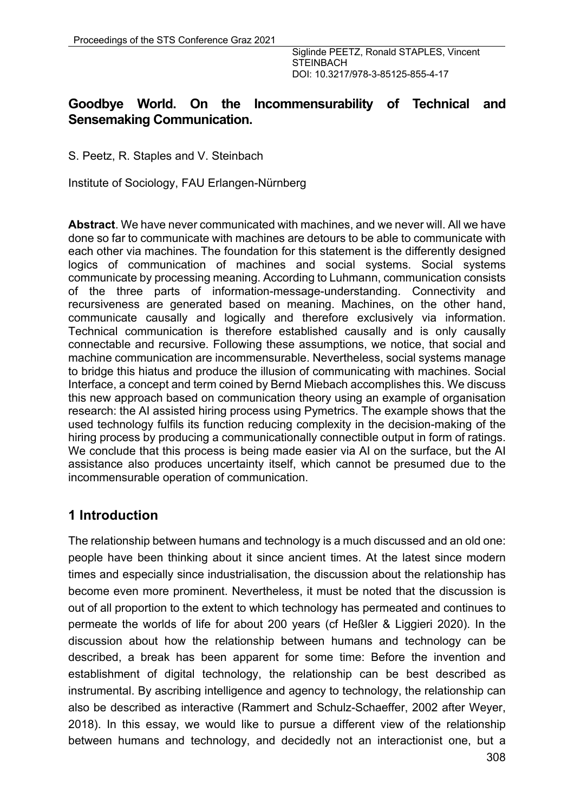#### **Goodbye World. On the Incommensurability of Technical and Sensemaking Communication.**

S. Peetz, R. Staples and V. Steinbach

Institute of Sociology, FAU Erlangen-Nürnberg

**Abstract**. We have never communicated with machines, and we never will. All we have done so far to communicate with machines are detours to be able to communicate with each other via machines. The foundation for this statement is the differently designed logics of communication of machines and social systems. Social systems communicate by processing meaning. According to Luhmann, communication consists of the three parts of information-message-understanding. Connectivity and recursiveness are generated based on meaning. Machines, on the other hand, communicate causally and logically and therefore exclusively via information. Technical communication is therefore established causally and is only causally connectable and recursive. Following these assumptions, we notice, that social and machine communication are incommensurable. Nevertheless, social systems manage to bridge this hiatus and produce the illusion of communicating with machines. Social Interface, a concept and term coined by Bernd Miebach accomplishes this. We discuss this new approach based on communication theory using an example of organisation research: the AI assisted hiring process using Pymetrics. The example shows that the used technology fulfils its function reducing complexity in the decision-making of the hiring process by producing a communicationally connectible output in form of ratings. We conclude that this process is being made easier via AI on the surface, but the AI assistance also produces uncertainty itself, which cannot be presumed due to the incommensurable operation of communication.

## **1 Introduction**

The relationship between humans and technology is a much discussed and an old one: people have been thinking about it since ancient times. At the latest since modern times and especially since industrialisation, the discussion about the relationship has become even more prominent. Nevertheless, it must be noted that the discussion is out of all proportion to the extent to which technology has permeated and continues to permeate the worlds of life for about 200 years (cf Heßler & Liggieri 2020). In the discussion about how the relationship between humans and technology can be described, a break has been apparent for some time: Before the invention and establishment of digital technology, the relationship can be best described as instrumental. By ascribing intelligence and agency to technology, the relationship can also be described as interactive (Rammert and Schulz-Schaeffer, 2002 after Weyer, 2018). In this essay, we would like to pursue a different view of the relationship between humans and technology, and decidedly not an interactionist one, but a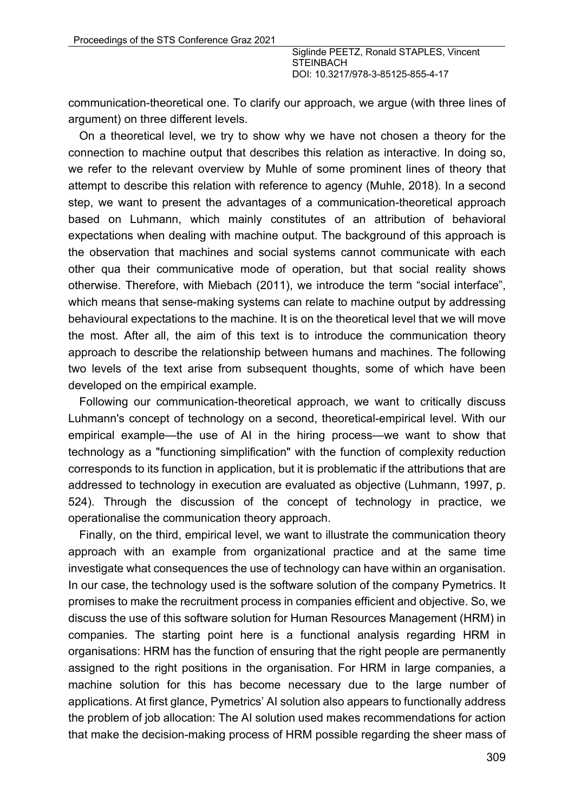communication-theoretical one. To clarify our approach, we argue (with three lines of argument) on three different levels.

On a theoretical level, we try to show why we have not chosen a theory for the connection to machine output that describes this relation as interactive. In doing so, we refer to the relevant overview by Muhle of some prominent lines of theory that attempt to describe this relation with reference to agency (Muhle, 2018). In a second step, we want to present the advantages of a communication-theoretical approach based on Luhmann, which mainly constitutes of an attribution of behavioral expectations when dealing with machine output. The background of this approach is the observation that machines and social systems cannot communicate with each other qua their communicative mode of operation, but that social reality shows otherwise. Therefore, with Miebach (2011), we introduce the term "social interface", which means that sense-making systems can relate to machine output by addressing behavioural expectations to the machine. It is on the theoretical level that we will move the most. After all, the aim of this text is to introduce the communication theory approach to describe the relationship between humans and machines. The following two levels of the text arise from subsequent thoughts, some of which have been developed on the empirical example.

Following our communication-theoretical approach, we want to critically discuss Luhmann's concept of technology on a second, theoretical-empirical level. With our empirical example—the use of AI in the hiring process—we want to show that technology as a "functioning simplification" with the function of complexity reduction corresponds to its function in application, but it is problematic if the attributions that are addressed to technology in execution are evaluated as objective (Luhmann, 1997, p. 524). Through the discussion of the concept of technology in practice, we operationalise the communication theory approach.

Finally, on the third, empirical level, we want to illustrate the communication theory approach with an example from organizational practice and at the same time investigate what consequences the use of technology can have within an organisation. In our case, the technology used is the software solution of the company Pymetrics. It promises to make the recruitment process in companies efficient and objective. So, we discuss the use of this software solution for Human Resources Management (HRM) in companies. The starting point here is a functional analysis regarding HRM in organisations: HRM has the function of ensuring that the right people are permanently assigned to the right positions in the organisation. For HRM in large companies, a machine solution for this has become necessary due to the large number of applications. At first glance, Pymetrics' AI solution also appears to functionally address the problem of job allocation: The AI solution used makes recommendations for action that make the decision-making process of HRM possible regarding the sheer mass of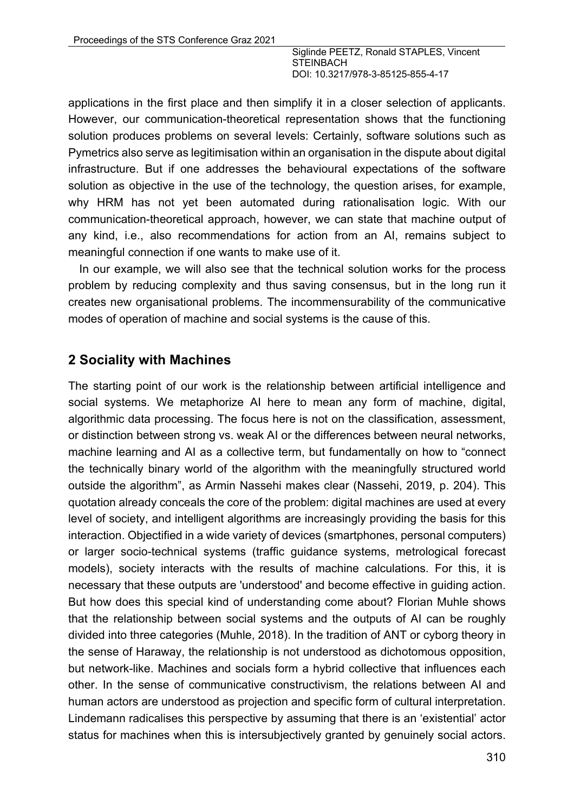applications in the first place and then simplify it in a closer selection of applicants. However, our communication-theoretical representation shows that the functioning solution produces problems on several levels: Certainly, software solutions such as Pymetrics also serve as legitimisation within an organisation in the dispute about digital infrastructure. But if one addresses the behavioural expectations of the software solution as objective in the use of the technology, the question arises, for example, why HRM has not yet been automated during rationalisation logic. With our communication-theoretical approach, however, we can state that machine output of any kind, i.e., also recommendations for action from an AI, remains subject to meaningful connection if one wants to make use of it.

In our example, we will also see that the technical solution works for the process problem by reducing complexity and thus saving consensus, but in the long run it creates new organisational problems. The incommensurability of the communicative modes of operation of machine and social systems is the cause of this.

#### **2 Sociality with Machines**

The starting point of our work is the relationship between artificial intelligence and social systems. We metaphorize AI here to mean any form of machine, digital, algorithmic data processing. The focus here is not on the classification, assessment, or distinction between strong vs. weak AI or the differences between neural networks, machine learning and AI as a collective term, but fundamentally on how to "connect the technically binary world of the algorithm with the meaningfully structured world outside the algorithm", as Armin Nassehi makes clear (Nassehi, 2019, p. 204). This quotation already conceals the core of the problem: digital machines are used at every level of society, and intelligent algorithms are increasingly providing the basis for this interaction. Objectified in a wide variety of devices (smartphones, personal computers) or larger socio-technical systems (traffic guidance systems, metrological forecast models), society interacts with the results of machine calculations. For this, it is necessary that these outputs are 'understood' and become effective in guiding action. But how does this special kind of understanding come about? Florian Muhle shows that the relationship between social systems and the outputs of AI can be roughly divided into three categories (Muhle, 2018). In the tradition of ANT or cyborg theory in the sense of Haraway, the relationship is not understood as dichotomous opposition, but network-like. Machines and socials form a hybrid collective that influences each other. In the sense of communicative constructivism, the relations between AI and human actors are understood as projection and specific form of cultural interpretation. Lindemann radicalises this perspective by assuming that there is an 'existential' actor status for machines when this is intersubjectively granted by genuinely social actors.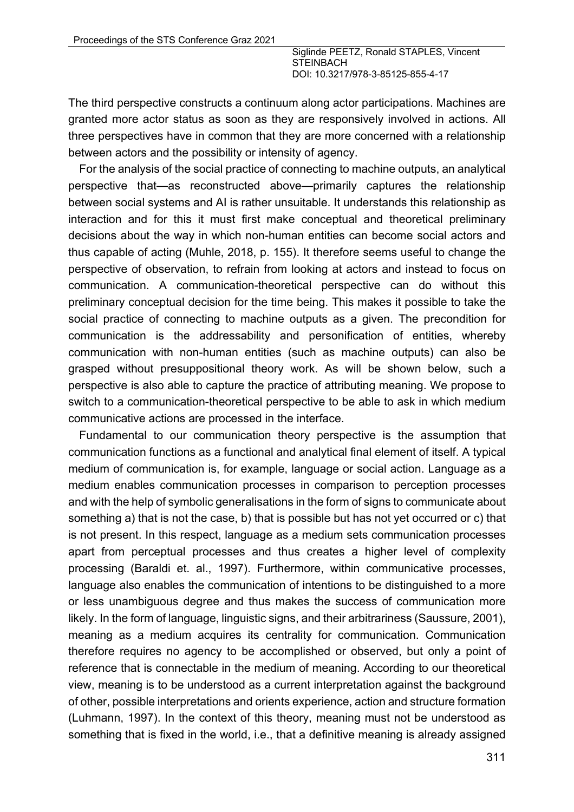The third perspective constructs a continuum along actor participations. Machines are granted more actor status as soon as they are responsively involved in actions. All three perspectives have in common that they are more concerned with a relationship between actors and the possibility or intensity of agency.

For the analysis of the social practice of connecting to machine outputs, an analytical perspective that—as reconstructed above—primarily captures the relationship between social systems and AI is rather unsuitable. It understands this relationship as interaction and for this it must first make conceptual and theoretical preliminary decisions about the way in which non-human entities can become social actors and thus capable of acting (Muhle, 2018, p. 155). It therefore seems useful to change the perspective of observation, to refrain from looking at actors and instead to focus on communication. A communication-theoretical perspective can do without this preliminary conceptual decision for the time being. This makes it possible to take the social practice of connecting to machine outputs as a given. The precondition for communication is the addressability and personification of entities, whereby communication with non-human entities (such as machine outputs) can also be grasped without presuppositional theory work. As will be shown below, such a perspective is also able to capture the practice of attributing meaning. We propose to switch to a communication-theoretical perspective to be able to ask in which medium communicative actions are processed in the interface.

Fundamental to our communication theory perspective is the assumption that communication functions as a functional and analytical final element of itself. A typical medium of communication is, for example, language or social action. Language as a medium enables communication processes in comparison to perception processes and with the help of symbolic generalisations in the form of signs to communicate about something a) that is not the case, b) that is possible but has not yet occurred or c) that is not present. In this respect, language as a medium sets communication processes apart from perceptual processes and thus creates a higher level of complexity processing (Baraldi et. al., 1997). Furthermore, within communicative processes, language also enables the communication of intentions to be distinguished to a more or less unambiguous degree and thus makes the success of communication more likely. In the form of language, linguistic signs, and their arbitrariness (Saussure, 2001), meaning as a medium acquires its centrality for communication. Communication therefore requires no agency to be accomplished or observed, but only a point of reference that is connectable in the medium of meaning. According to our theoretical view, meaning is to be understood as a current interpretation against the background of other, possible interpretations and orients experience, action and structure formation (Luhmann, 1997). In the context of this theory, meaning must not be understood as something that is fixed in the world, i.e., that a definitive meaning is already assigned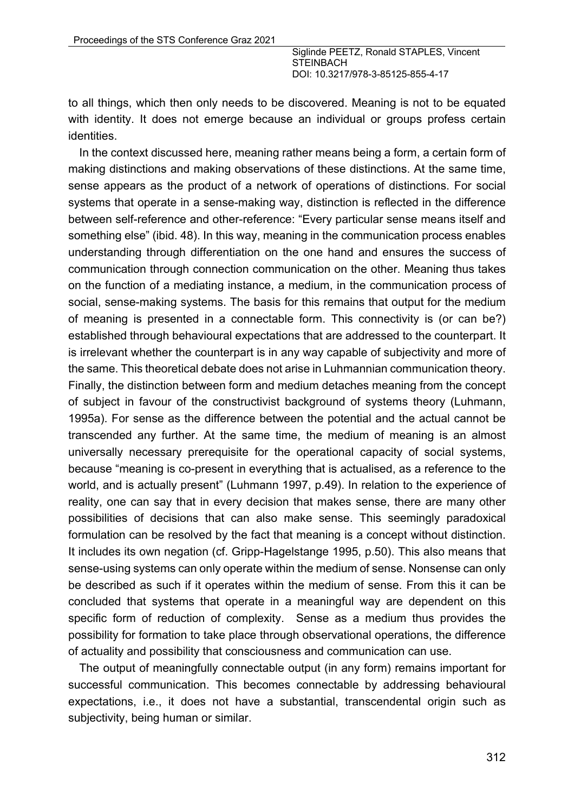to all things, which then only needs to be discovered. Meaning is not to be equated with identity. It does not emerge because an individual or groups profess certain identities.

In the context discussed here, meaning rather means being a form, a certain form of making distinctions and making observations of these distinctions. At the same time, sense appears as the product of a network of operations of distinctions. For social systems that operate in a sense-making way, distinction is reflected in the difference between self-reference and other-reference: "Every particular sense means itself and something else" (ibid. 48). In this way, meaning in the communication process enables understanding through differentiation on the one hand and ensures the success of communication through connection communication on the other. Meaning thus takes on the function of a mediating instance, a medium, in the communication process of social, sense-making systems. The basis for this remains that output for the medium of meaning is presented in a connectable form. This connectivity is (or can be?) established through behavioural expectations that are addressed to the counterpart. It is irrelevant whether the counterpart is in any way capable of subjectivity and more of the same. This theoretical debate does not arise in Luhmannian communication theory. Finally, the distinction between form and medium detaches meaning from the concept of subject in favour of the constructivist background of systems theory (Luhmann, 1995a). For sense as the difference between the potential and the actual cannot be transcended any further. At the same time, the medium of meaning is an almost universally necessary prerequisite for the operational capacity of social systems, because "meaning is co-present in everything that is actualised, as a reference to the world, and is actually present" (Luhmann 1997, p.49). In relation to the experience of reality, one can say that in every decision that makes sense, there are many other possibilities of decisions that can also make sense. This seemingly paradoxical formulation can be resolved by the fact that meaning is a concept without distinction. It includes its own negation (cf. Gripp-Hagelstange 1995, p.50). This also means that sense-using systems can only operate within the medium of sense. Nonsense can only be described as such if it operates within the medium of sense. From this it can be concluded that systems that operate in a meaningful way are dependent on this specific form of reduction of complexity. Sense as a medium thus provides the possibility for formation to take place through observational operations, the difference of actuality and possibility that consciousness and communication can use.

The output of meaningfully connectable output (in any form) remains important for successful communication. This becomes connectable by addressing behavioural expectations, i.e., it does not have a substantial, transcendental origin such as subjectivity, being human or similar.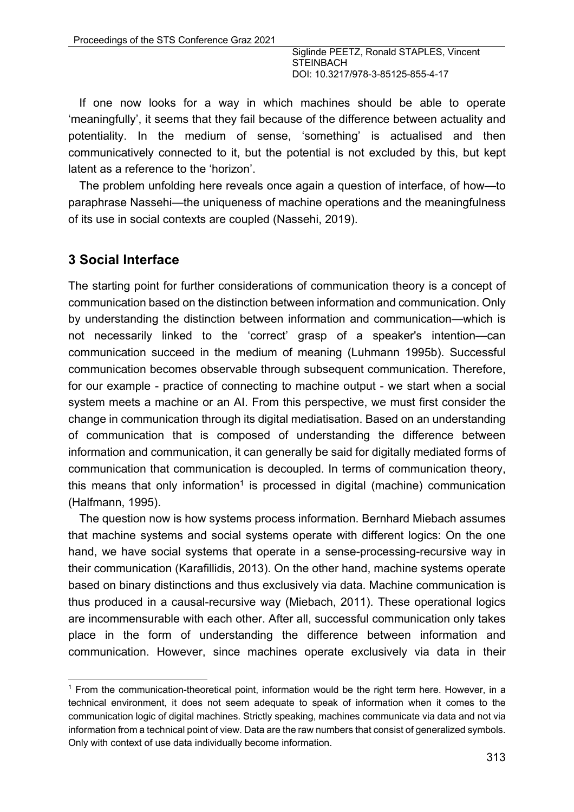If one now looks for a way in which machines should be able to operate 'meaningfully', it seems that they fail because of the difference between actuality and potentiality. In the medium of sense, 'something' is actualised and then communicatively connected to it, but the potential is not excluded by this, but kept latent as a reference to the 'horizon'.

The problem unfolding here reveals once again a question of interface, of how—to paraphrase Nassehi—the uniqueness of machine operations and the meaningfulness of its use in social contexts are coupled (Nassehi, 2019).

## **3 Social Interface**

The starting point for further considerations of communication theory is a concept of communication based on the distinction between information and communication. Only by understanding the distinction between information and communication—which is not necessarily linked to the 'correct' grasp of a speaker's intention—can communication succeed in the medium of meaning (Luhmann 1995b). Successful communication becomes observable through subsequent communication. Therefore, for our example - practice of connecting to machine output - we start when a social system meets a machine or an AI. From this perspective, we must first consider the change in communication through its digital mediatisation. Based on an understanding of communication that is composed of understanding the difference between information and communication, it can generally be said for digitally mediated forms of communication that communication is decoupled. In terms of communication theory, this means that only information<sup>1</sup> is processed in digital (machine) communication (Halfmann, 1995).

The question now is how systems process information. Bernhard Miebach assumes that machine systems and social systems operate with different logics: On the one hand, we have social systems that operate in a sense-processing-recursive way in their communication (Karafillidis, 2013). On the other hand, machine systems operate based on binary distinctions and thus exclusively via data. Machine communication is thus produced in a causal-recursive way (Miebach, 2011). These operational logics are incommensurable with each other. After all, successful communication only takes place in the form of understanding the difference between information and communication. However, since machines operate exclusively via data in their

 $<sup>1</sup>$  From the communication-theoretical point, information would be the right term here. However, in a</sup> technical environment, it does not seem adequate to speak of information when it comes to the communication logic of digital machines. Strictly speaking, machines communicate via data and not via information from a technical point of view. Data are the raw numbers that consist of generalized symbols. Only with context of use data individually become information.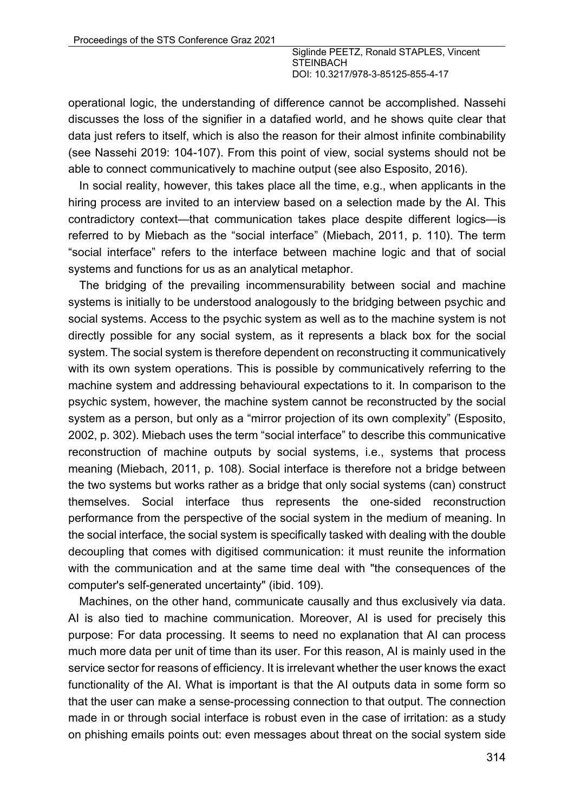operational logic, the understanding of difference cannot be accomplished. Nassehi discusses the loss of the signifier in a datafied world, and he shows quite clear that data just refers to itself, which is also the reason for their almost infinite combinability (see Nassehi 2019: 104-107). From this point of view, social systems should not be able to connect communicatively to machine output (see also Esposito, 2016).

In social reality, however, this takes place all the time, e.g., when applicants in the hiring process are invited to an interview based on a selection made by the AI. This contradictory context—that communication takes place despite different logics—is referred to by Miebach as the "social interface" (Miebach, 2011, p. 110). The term "social interface" refers to the interface between machine logic and that of social systems and functions for us as an analytical metaphor.

The bridging of the prevailing incommensurability between social and machine systems is initially to be understood analogously to the bridging between psychic and social systems. Access to the psychic system as well as to the machine system is not directly possible for any social system, as it represents a black box for the social system. The social system is therefore dependent on reconstructing it communicatively with its own system operations. This is possible by communicatively referring to the machine system and addressing behavioural expectations to it. In comparison to the psychic system, however, the machine system cannot be reconstructed by the social system as a person, but only as a "mirror projection of its own complexity" (Esposito, 2002, p. 302). Miebach uses the term "social interface" to describe this communicative reconstruction of machine outputs by social systems, i.e., systems that process meaning (Miebach, 2011, p. 108). Social interface is therefore not a bridge between the two systems but works rather as a bridge that only social systems (can) construct themselves. Social interface thus represents the one-sided reconstruction performance from the perspective of the social system in the medium of meaning. In the social interface, the social system is specifically tasked with dealing with the double decoupling that comes with digitised communication: it must reunite the information with the communication and at the same time deal with "the consequences of the computer's self-generated uncertainty" (ibid. 109).

Machines, on the other hand, communicate causally and thus exclusively via data. AI is also tied to machine communication. Moreover, AI is used for precisely this purpose: For data processing. It seems to need no explanation that AI can process much more data per unit of time than its user. For this reason, AI is mainly used in the service sector for reasons of efficiency. It is irrelevant whether the user knows the exact functionality of the AI. What is important is that the AI outputs data in some form so that the user can make a sense-processing connection to that output. The connection made in or through social interface is robust even in the case of irritation: as a study on phishing emails points out: even messages about threat on the social system side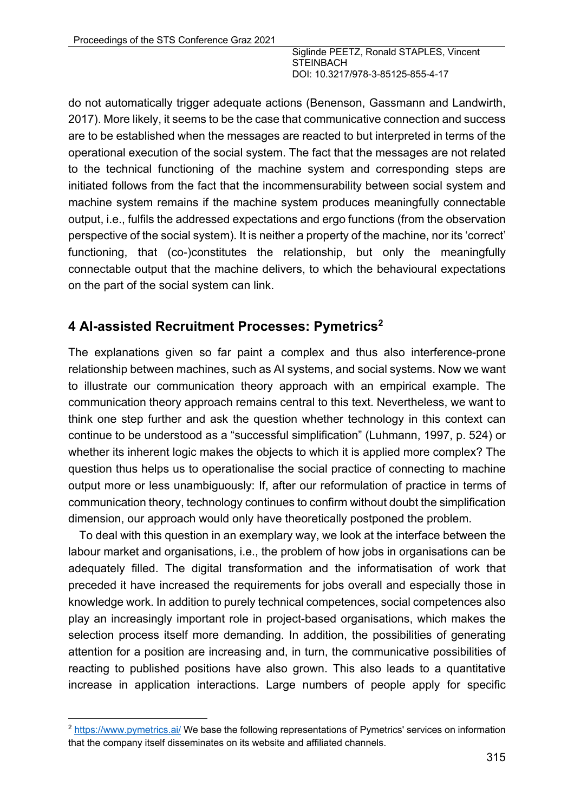do not automatically trigger adequate actions (Benenson, Gassmann and Landwirth, 2017). More likely, it seems to be the case that communicative connection and success are to be established when the messages are reacted to but interpreted in terms of the operational execution of the social system. The fact that the messages are not related to the technical functioning of the machine system and corresponding steps are initiated follows from the fact that the incommensurability between social system and machine system remains if the machine system produces meaningfully connectable output, i.e., fulfils the addressed expectations and ergo functions (from the observation perspective of the social system). It is neither a property of the machine, nor its 'correct' functioning, that (co-)constitutes the relationship, but only the meaningfully connectable output that the machine delivers, to which the behavioural expectations on the part of the social system can link.

# **4 AI-assisted Recruitment Processes: Pymetrics2**

The explanations given so far paint a complex and thus also interference-prone relationship between machines, such as AI systems, and social systems. Now we want to illustrate our communication theory approach with an empirical example. The communication theory approach remains central to this text. Nevertheless, we want to think one step further and ask the question whether technology in this context can continue to be understood as a "successful simplification" (Luhmann, 1997, p. 524) or whether its inherent logic makes the objects to which it is applied more complex? The question thus helps us to operationalise the social practice of connecting to machine output more or less unambiguously: If, after our reformulation of practice in terms of communication theory, technology continues to confirm without doubt the simplification dimension, our approach would only have theoretically postponed the problem.

To deal with this question in an exemplary way, we look at the interface between the labour market and organisations, i.e., the problem of how jobs in organisations can be adequately filled. The digital transformation and the informatisation of work that preceded it have increased the requirements for jobs overall and especially those in knowledge work. In addition to purely technical competences, social competences also play an increasingly important role in project-based organisations, which makes the selection process itself more demanding. In addition, the possibilities of generating attention for a position are increasing and, in turn, the communicative possibilities of reacting to published positions have also grown. This also leads to a quantitative increase in application interactions. Large numbers of people apply for specific

<sup>2</sup> https://www.pymetrics.ai/ We base the following representations of Pymetrics' services on information that the company itself disseminates on its website and affiliated channels.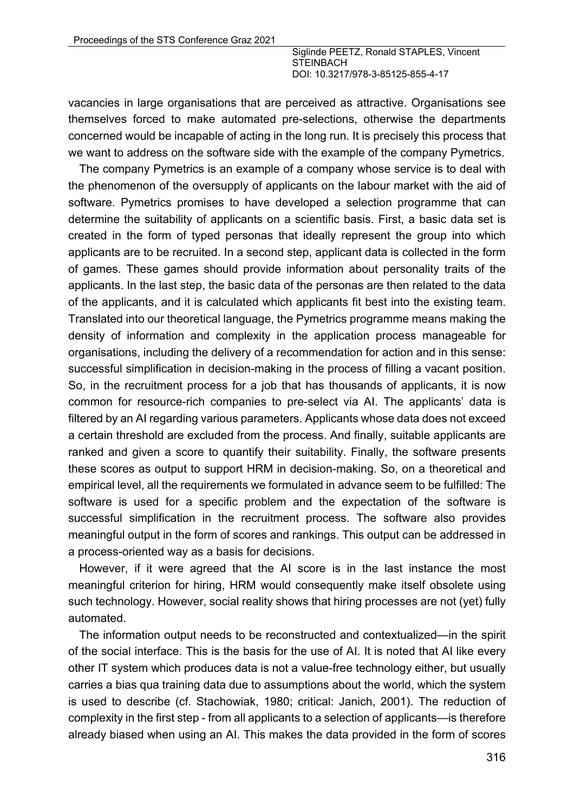vacancies in large organisations that are perceived as attractive. Organisations see themselves forced to make automated pre-selections, otherwise the departments concerned would be incapable of acting in the long run. It is precisely this process that we want to address on the software side with the example of the company Pymetrics.

The company Pymetrics is an example of a company whose service is to deal with the phenomenon of the oversupply of applicants on the labour market with the aid of software. Pymetrics promises to have developed a selection programme that can determine the suitability of applicants on a scientific basis. First, a basic data set is created in the form of typed personas that ideally represent the group into which applicants are to be recruited. In a second step, applicant data is collected in the form of games. These games should provide information about personality traits of the applicants. In the last step, the basic data of the personas are then related to the data of the applicants, and it is calculated which applicants fit best into the existing team. Translated into our theoretical language, the Pymetrics programme means making the density of information and complexity in the application process manageable for organisations, including the delivery of a recommendation for action and in this sense: successful simplification in decision-making in the process of filling a vacant position. So, in the recruitment process for a job that has thousands of applicants, it is now common for resource-rich companies to pre-select via AI. The applicants' data is filtered by an AI regarding various parameters. Applicants whose data does not exceed a certain threshold are excluded from the process. And finally, suitable applicants are ranked and given a score to quantify their suitability. Finally, the software presents these scores as output to support HRM in decision-making. So, on a theoretical and empirical level, all the requirements we formulated in advance seem to be fulfilled: The software is used for a specific problem and the expectation of the software is successful simplification in the recruitment process. The software also provides meaningful output in the form of scores and rankings. This output can be addressed in a process-oriented way as a basis for decisions.

However, if it were agreed that the AI score is in the last instance the most meaningful criterion for hiring, HRM would consequently make itself obsolete using such technology. However, social reality shows that hiring processes are not (yet) fully automated.

The information output needs to be reconstructed and contextualized—in the spirit of the social interface. This is the basis for the use of AI. It is noted that AI like every other IT system which produces data is not a value-free technology either, but usually carries a bias qua training data due to assumptions about the world, which the system is used to describe (cf. Stachowiak, 1980; critical: Janich, 2001). The reduction of complexity in the first step - from all applicants to a selection of applicants—is therefore already biased when using an AI. This makes the data provided in the form of scores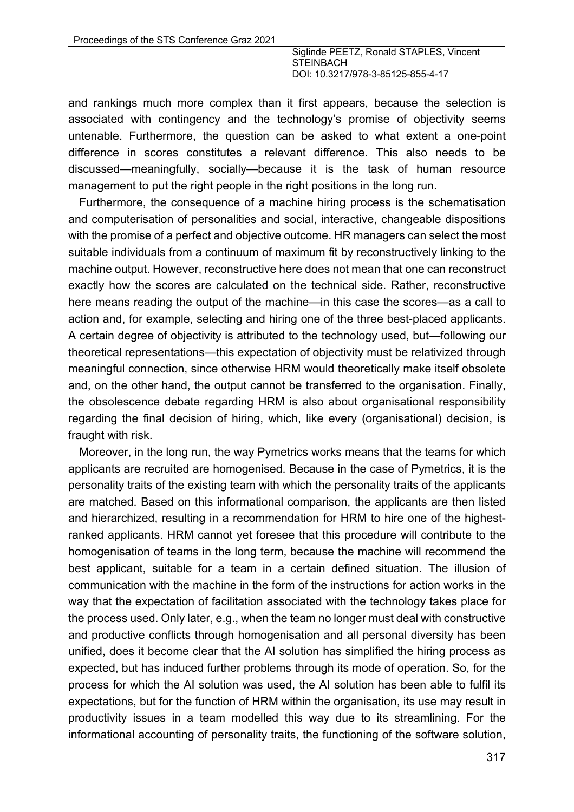and rankings much more complex than it first appears, because the selection is associated with contingency and the technology's promise of objectivity seems untenable. Furthermore, the question can be asked to what extent a one-point difference in scores constitutes a relevant difference. This also needs to be discussed—meaningfully, socially—because it is the task of human resource management to put the right people in the right positions in the long run.

Furthermore, the consequence of a machine hiring process is the schematisation and computerisation of personalities and social, interactive, changeable dispositions with the promise of a perfect and objective outcome. HR managers can select the most suitable individuals from a continuum of maximum fit by reconstructively linking to the machine output. However, reconstructive here does not mean that one can reconstruct exactly how the scores are calculated on the technical side. Rather, reconstructive here means reading the output of the machine—in this case the scores—as a call to action and, for example, selecting and hiring one of the three best-placed applicants. A certain degree of objectivity is attributed to the technology used, but—following our theoretical representations—this expectation of objectivity must be relativized through meaningful connection, since otherwise HRM would theoretically make itself obsolete and, on the other hand, the output cannot be transferred to the organisation. Finally, the obsolescence debate regarding HRM is also about organisational responsibility regarding the final decision of hiring, which, like every (organisational) decision, is fraught with risk.

Moreover, in the long run, the way Pymetrics works means that the teams for which applicants are recruited are homogenised. Because in the case of Pymetrics, it is the personality traits of the existing team with which the personality traits of the applicants are matched. Based on this informational comparison, the applicants are then listed and hierarchized, resulting in a recommendation for HRM to hire one of the highestranked applicants. HRM cannot yet foresee that this procedure will contribute to the homogenisation of teams in the long term, because the machine will recommend the best applicant, suitable for a team in a certain defined situation. The illusion of communication with the machine in the form of the instructions for action works in the way that the expectation of facilitation associated with the technology takes place for the process used. Only later, e.g., when the team no longer must deal with constructive and productive conflicts through homogenisation and all personal diversity has been unified, does it become clear that the AI solution has simplified the hiring process as expected, but has induced further problems through its mode of operation. So, for the process for which the AI solution was used, the AI solution has been able to fulfil its expectations, but for the function of HRM within the organisation, its use may result in productivity issues in a team modelled this way due to its streamlining. For the informational accounting of personality traits, the functioning of the software solution,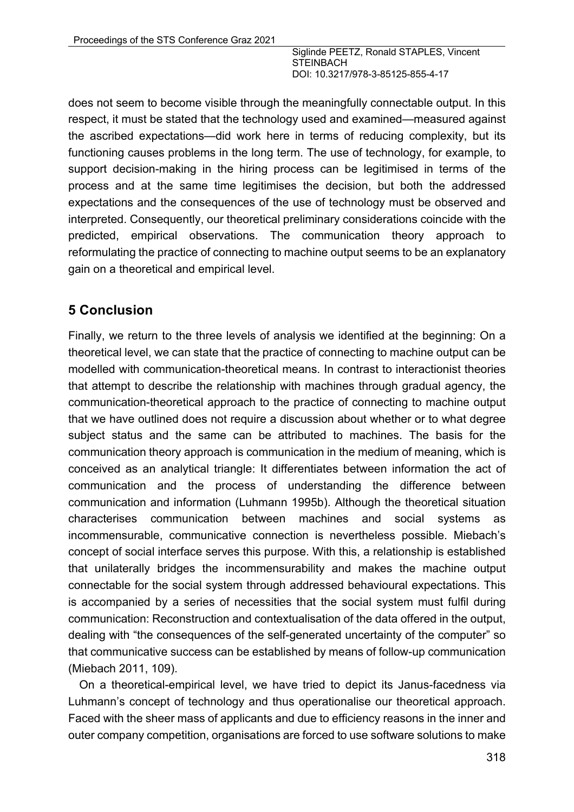does not seem to become visible through the meaningfully connectable output. In this respect, it must be stated that the technology used and examined—measured against the ascribed expectations—did work here in terms of reducing complexity, but its functioning causes problems in the long term. The use of technology, for example, to support decision-making in the hiring process can be legitimised in terms of the process and at the same time legitimises the decision, but both the addressed expectations and the consequences of the use of technology must be observed and interpreted. Consequently, our theoretical preliminary considerations coincide with the predicted, empirical observations. The communication theory approach to reformulating the practice of connecting to machine output seems to be an explanatory gain on a theoretical and empirical level.

## **5 Conclusion**

Finally, we return to the three levels of analysis we identified at the beginning: On a theoretical level, we can state that the practice of connecting to machine output can be modelled with communication-theoretical means. In contrast to interactionist theories that attempt to describe the relationship with machines through gradual agency, the communication-theoretical approach to the practice of connecting to machine output that we have outlined does not require a discussion about whether or to what degree subject status and the same can be attributed to machines. The basis for the communication theory approach is communication in the medium of meaning, which is conceived as an analytical triangle: It differentiates between information the act of communication and the process of understanding the difference between communication and information (Luhmann 1995b). Although the theoretical situation characterises communication between machines and social systems as incommensurable, communicative connection is nevertheless possible. Miebach's concept of social interface serves this purpose. With this, a relationship is established that unilaterally bridges the incommensurability and makes the machine output connectable for the social system through addressed behavioural expectations. This is accompanied by a series of necessities that the social system must fulfil during communication: Reconstruction and contextualisation of the data offered in the output, dealing with "the consequences of the self-generated uncertainty of the computer" so that communicative success can be established by means of follow-up communication (Miebach 2011, 109).

On a theoretical-empirical level, we have tried to depict its Janus-facedness via Luhmann's concept of technology and thus operationalise our theoretical approach. Faced with the sheer mass of applicants and due to efficiency reasons in the inner and outer company competition, organisations are forced to use software solutions to make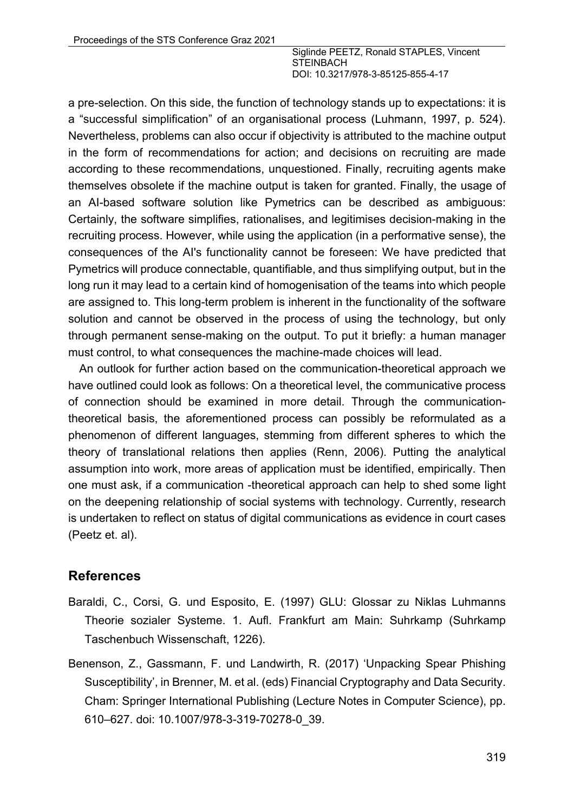a pre-selection. On this side, the function of technology stands up to expectations: it is a "successful simplification" of an organisational process (Luhmann, 1997, p. 524). Nevertheless, problems can also occur if objectivity is attributed to the machine output in the form of recommendations for action; and decisions on recruiting are made according to these recommendations, unquestioned. Finally, recruiting agents make themselves obsolete if the machine output is taken for granted. Finally, the usage of an AI-based software solution like Pymetrics can be described as ambiguous: Certainly, the software simplifies, rationalises, and legitimises decision-making in the recruiting process. However, while using the application (in a performative sense), the consequences of the AI's functionality cannot be foreseen: We have predicted that Pymetrics will produce connectable, quantifiable, and thus simplifying output, but in the long run it may lead to a certain kind of homogenisation of the teams into which people are assigned to. This long-term problem is inherent in the functionality of the software solution and cannot be observed in the process of using the technology, but only through permanent sense-making on the output. To put it briefly: a human manager must control, to what consequences the machine-made choices will lead.

An outlook for further action based on the communication-theoretical approach we have outlined could look as follows: On a theoretical level, the communicative process of connection should be examined in more detail. Through the communicationtheoretical basis, the aforementioned process can possibly be reformulated as a phenomenon of different languages, stemming from different spheres to which the theory of translational relations then applies (Renn, 2006). Putting the analytical assumption into work, more areas of application must be identified, empirically. Then one must ask, if a communication -theoretical approach can help to shed some light on the deepening relationship of social systems with technology. Currently, research is undertaken to reflect on status of digital communications as evidence in court cases (Peetz et. al).

#### **References**

- Baraldi, C., Corsi, G. und Esposito, E. (1997) GLU: Glossar zu Niklas Luhmanns Theorie sozialer Systeme. 1. Aufl. Frankfurt am Main: Suhrkamp (Suhrkamp Taschenbuch Wissenschaft, 1226).
- Benenson, Z., Gassmann, F. und Landwirth, R. (2017) 'Unpacking Spear Phishing Susceptibility', in Brenner, M. et al. (eds) Financial Cryptography and Data Security. Cham: Springer International Publishing (Lecture Notes in Computer Science), pp. 610–627. doi: 10.1007/978-3-319-70278-0\_39.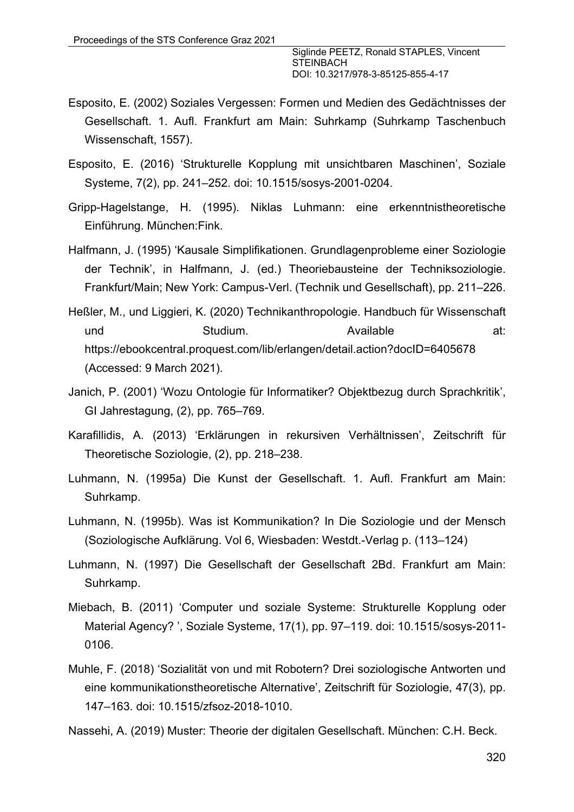- Esposito, E. (2002) Soziales Vergessen: Formen und Medien des Gedächtnisses der Gesellschaft. 1. Aufl. Frankfurt am Main: Suhrkamp (Suhrkamp Taschenbuch Wissenschaft, 1557).
- Esposito, E. (2016) 'Strukturelle Kopplung mit unsichtbaren Maschinen', Soziale Systeme, 7(2), pp. 241–252. doi: 10.1515/sosys-2001-0204.
- Gripp-Hagelstange, H. (1995). Niklas Luhmann: eine erkenntnistheoretische Einführung. München:Fink.
- Halfmann, J. (1995) 'Kausale Simplifikationen. Grundlagenprobleme einer Soziologie der Technik', in Halfmann, J. (ed.) Theoriebausteine der Techniksoziologie. Frankfurt/Main; New York: Campus-Verl. (Technik und Gesellschaft), pp. 211–226.
- Heßler, M., und Liggieri, K. (2020) Technikanthropologie. Handbuch für Wissenschaft und Studium. Available at: https://ebookcentral.proquest.com/lib/erlangen/detail.action?docID=6405678 (Accessed: 9 March 2021).
- Janich, P. (2001) 'Wozu Ontologie für Informatiker? Objektbezug durch Sprachkritik', GI Jahrestagung, (2), pp. 765–769.
- Karafillidis, A. (2013) 'Erklärungen in rekursiven Verhältnissen', Zeitschrift für Theoretische Soziologie, (2), pp. 218–238.
- Luhmann, N. (1995a) Die Kunst der Gesellschaft. 1. Aufl. Frankfurt am Main: Suhrkamp.
- Luhmann, N. (1995b). Was ist Kommunikation? In Die Soziologie und der Mensch (Soziologische Aufklärung. Vol 6, Wiesbaden: Westdt.-Verlag p. (113–124)
- Luhmann, N. (1997) Die Gesellschaft der Gesellschaft 2Bd. Frankfurt am Main: Suhrkamp.
- Miebach, B. (2011) 'Computer und soziale Systeme: Strukturelle Kopplung oder Material Agency? ', Soziale Systeme, 17(1), pp. 97–119. doi: 10.1515/sosys-2011- 0106.
- Muhle, F. (2018) 'Sozialität von und mit Robotern? Drei soziologische Antworten und eine kommunikationstheoretische Alternative', Zeitschrift für Soziologie, 47(3), pp. 147–163. doi: 10.1515/zfsoz-2018-1010.

Nassehi, A. (2019) Muster: Theorie der digitalen Gesellschaft. München: C.H. Beck.